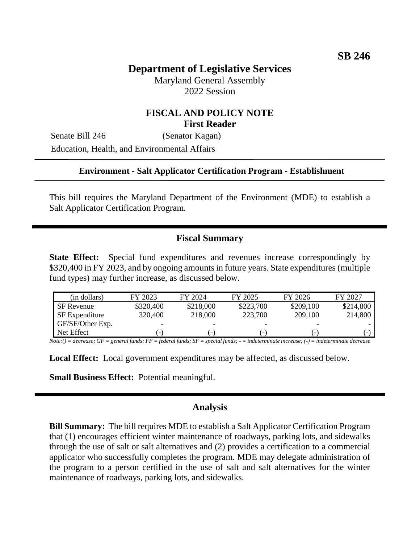# **Department of Legislative Services**

Maryland General Assembly 2022 Session

### **FISCAL AND POLICY NOTE First Reader**

Senate Bill 246 (Senator Kagan) Education, Health, and Environmental Affairs

#### **Environment - Salt Applicator Certification Program - Establishment**

This bill requires the Maryland Department of the Environment (MDE) to establish a Salt Applicator Certification Program.

### **Fiscal Summary**

**State Effect:** Special fund expenditures and revenues increase correspondingly by \$320,400 in FY 2023, and by ongoing amounts in future years. State expenditures (multiple fund types) may further increase, as discussed below.

| (in dollars)          | FY 2023                  | FY 2024                  | FY 2025                  | FY 2026                  | FY 2027   |
|-----------------------|--------------------------|--------------------------|--------------------------|--------------------------|-----------|
| <b>SF</b> Revenue     | \$320,400                | \$218,000                | \$223,700                | \$209,100                | \$214,800 |
| <b>SF</b> Expenditure | 320,400                  | 218,000                  | 223,700                  | 209,100                  | 214,800   |
| GF/SF/Other Exp.      | $\overline{\phantom{0}}$ | $\overline{\phantom{0}}$ | $\overline{\phantom{0}}$ | -                        |           |
| Net Effect            | $\overline{\phantom{a}}$ | $\overline{\phantom{a}}$ | -                        | $\overline{\phantom{0}}$ |           |

*Note:() = decrease; GF = general funds; FF = federal funds; SF = special funds; - = indeterminate increase; (-) = indeterminate decrease*

**Local Effect:** Local government expenditures may be affected, as discussed below.

**Small Business Effect:** Potential meaningful.

#### **Analysis**

**Bill Summary:** The bill requires MDE to establish a Salt Applicator Certification Program that (1) encourages efficient winter maintenance of roadways, parking lots, and sidewalks through the use of salt or salt alternatives and (2) provides a certification to a commercial applicator who successfully completes the program. MDE may delegate administration of the program to a person certified in the use of salt and salt alternatives for the winter maintenance of roadways, parking lots, and sidewalks.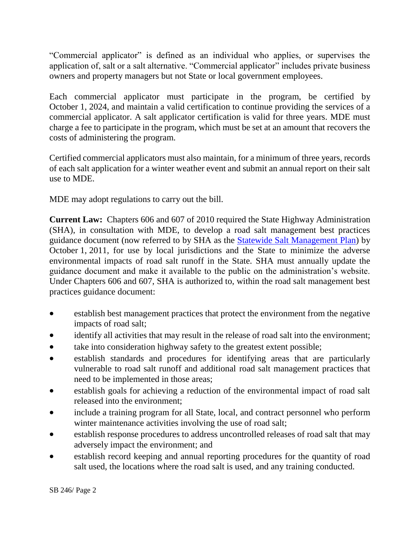"Commercial applicator" is defined as an individual who applies, or supervises the application of, salt or a salt alternative. "Commercial applicator" includes private business owners and property managers but not State or local government employees.

Each commercial applicator must participate in the program, be certified by October 1, 2024, and maintain a valid certification to continue providing the services of a commercial applicator. A salt applicator certification is valid for three years. MDE must charge a fee to participate in the program, which must be set at an amount that recovers the costs of administering the program.

Certified commercial applicators must also maintain, for a minimum of three years, records of each salt application for a winter weather event and submit an annual report on their salt use to MDE.

MDE may adopt regulations to carry out the bill.

**Current Law:** Chapters 606 and 607 of 2010 required the State Highway Administration (SHA), in consultation with MDE, to develop a road salt management best practices guidance document (now referred to by SHA as the [Statewide Salt Management Plan\)](https://roads.maryland.gov/OOM/Statewide_Salt_Management_Plan.pdf) by October 1, 2011, for use by local jurisdictions and the State to minimize the adverse environmental impacts of road salt runoff in the State. SHA must annually update the guidance document and make it available to the public on the administration's website. Under Chapters 606 and 607, SHA is authorized to, within the road salt management best practices guidance document:

- establish best management practices that protect the environment from the negative impacts of road salt;
- identify all activities that may result in the release of road salt into the environment;
- take into consideration highway safety to the greatest extent possible;
- establish standards and procedures for identifying areas that are particularly vulnerable to road salt runoff and additional road salt management practices that need to be implemented in those areas;
- establish goals for achieving a reduction of the environmental impact of road salt released into the environment;
- include a training program for all State, local, and contract personnel who perform winter maintenance activities involving the use of road salt;
- establish response procedures to address uncontrolled releases of road salt that may adversely impact the environment; and
- establish record keeping and annual reporting procedures for the quantity of road salt used, the locations where the road salt is used, and any training conducted.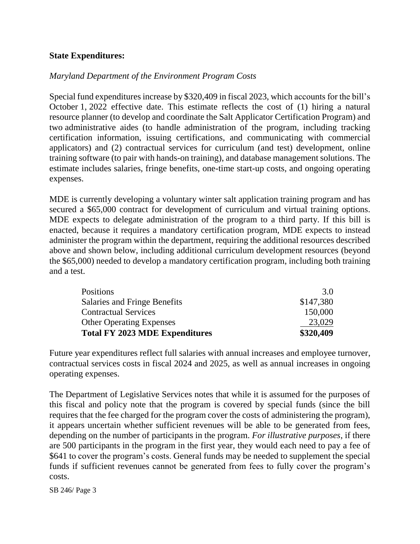### **State Expenditures:**

### *Maryland Department of the Environment Program Costs*

Special fund expenditures increase by \$320,409 in fiscal 2023, which accounts for the bill's October 1, 2022 effective date. This estimate reflects the cost of (1) hiring a natural resource planner (to develop and coordinate the Salt Applicator Certification Program) and two administrative aides (to handle administration of the program, including tracking certification information, issuing certifications, and communicating with commercial applicators) and (2) contractual services for curriculum (and test) development, online training software (to pair with hands-on training), and database management solutions. The estimate includes salaries, fringe benefits, one-time start-up costs, and ongoing operating expenses.

MDE is currently developing a voluntary winter salt application training program and has secured a \$65,000 contract for development of curriculum and virtual training options. MDE expects to delegate administration of the program to a third party. If this bill is enacted, because it requires a mandatory certification program, MDE expects to instead administer the program within the department, requiring the additional resources described above and shown below, including additional curriculum development resources (beyond the \$65,000) needed to develop a mandatory certification program, including both training and a test.

| <b>Total FY 2023 MDE Expenditures</b> | \$320,409 |
|---------------------------------------|-----------|
| <b>Other Operating Expenses</b>       | 23,029    |
| <b>Contractual Services</b>           | 150,000   |
| Salaries and Fringe Benefits          | \$147,380 |
| <b>Positions</b>                      | 3.0       |

Future year expenditures reflect full salaries with annual increases and employee turnover, contractual services costs in fiscal 2024 and 2025, as well as annual increases in ongoing operating expenses.

The Department of Legislative Services notes that while it is assumed for the purposes of this fiscal and policy note that the program is covered by special funds (since the bill requires that the fee charged for the program cover the costs of administering the program), it appears uncertain whether sufficient revenues will be able to be generated from fees, depending on the number of participants in the program. *For illustrative purposes*, if there are 500 participants in the program in the first year, they would each need to pay a fee of \$641 to cover the program's costs. General funds may be needed to supplement the special funds if sufficient revenues cannot be generated from fees to fully cover the program's costs.

SB 246/ Page 3